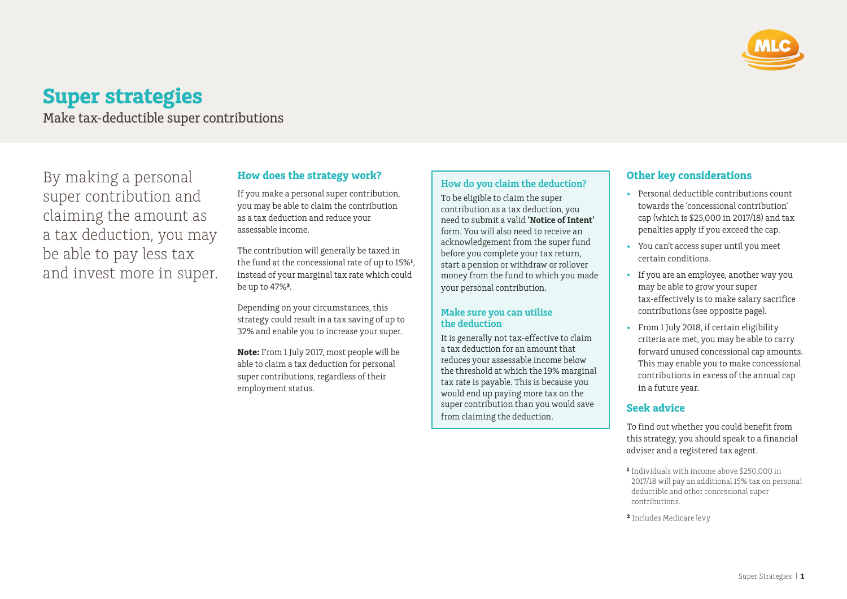

# **Super strategies**

Make tax-deductible super contributions

By making a personal super contribution and claiming the amount as a tax deduction, you may be able to pay less tax and invest more in super.

## **How does the strategy work?**

If you make a personal super contribution, you may be able to claim the contribution as a tax deduction and reduce your assessable income.

The contribution will generally be taxed in the fund at the concessional rate of up to 15%**¹**, instead of your marginal tax rate which could be up to 47%**²**.

Depending on your circumstances, this strategy could result in a tax saving of up to 32% and enable you to increase your super.

**Note:** From 1 July 2017, most people will be able to claim a tax deduction for personal super contributions, regardless of their employment status.

#### **How do you claim the deduction?**

To be eligible to claim the super contribution as a tax deduction, you need to submit a valid **'Notice of Intent'** form. You will also need to receive an acknowledgement from the super fund before you complete your tax return, start a pension or withdraw or rollover money from the fund to which you made your personal contribution.

#### **Make sure you can utilise the deduction**

It is generally not tax-effective to claim a tax deduction for an amount that reduces your assessable income below the threshold at which the 19% marginal tax rate is payable. This is because you would end up paying more tax on the super contribution than you would save from claiming the deduction.

## **Other key considerations**

- Personal deductible contributions count towards the 'concessional contribution' cap (which is \$25,000 in 2017/18) and tax penalties apply if you exceed the cap.
- You can't access super until you meet certain conditions.
- If you are an employee, another way you may be able to grow your super tax-effectively is to make salary sacrifice contributions (see opposite page).
- From 1 July 2018, if certain eligibility criteria are met, you may be able to carry forward unused concessional cap amounts. This may enable you to make concessional contributions in excess of the annual cap in a future year.

# **Seek advice**

To find out whether you could benefit from this strategy, you should speak to a financial adviser and a registered tax agent.

- **¹** Individuals with income above \$250,000 in 2017/18 will pay an additional 15% tax on personal deductible and other concessional super contributions.
- **²** Includes Medicare levy